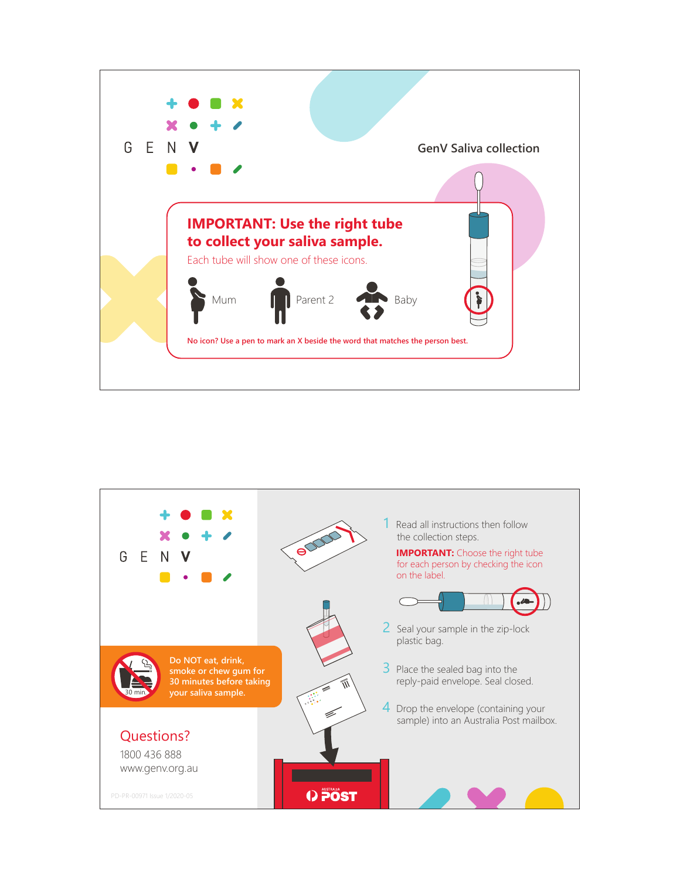